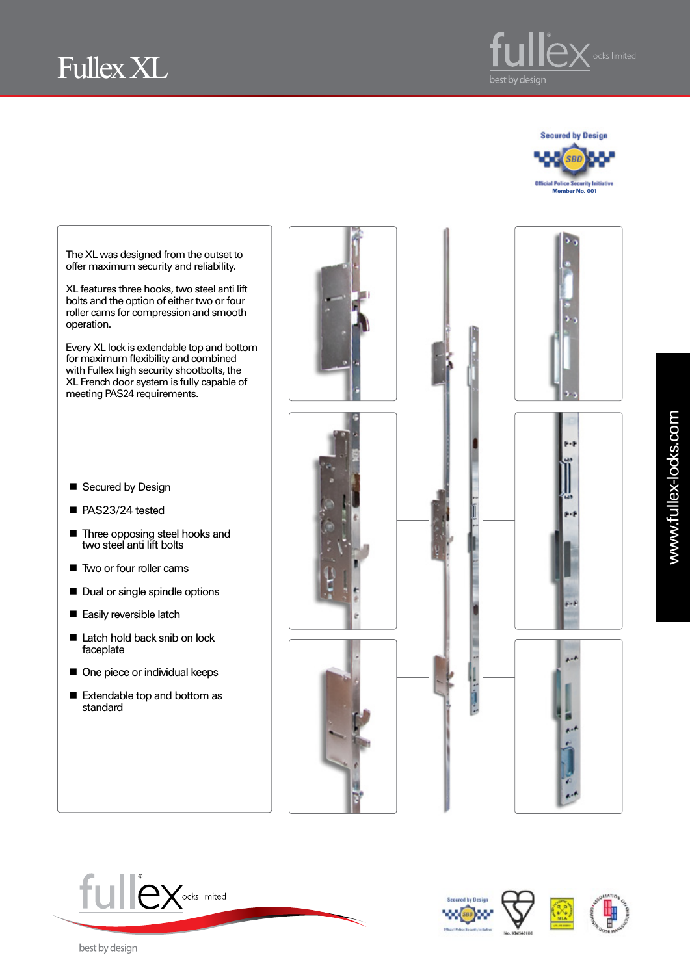









The XL was designed from the outset to offer maximum security and reliability.

XL features three hooks, two steel anti lift bolts and the option of either two or four roller cams for compression and smooth operation.

Every XL lock is extendable top and bottom for maximum flexibility and combined with Fullex high security shootbolts, the XL French door system is fully capable of meeting PAS24 requirements.

- Secured by Design
- PAS23/24 tested
- **Three opposing steel hooks and** two steel anti lift bolts
- Two or four roller cams
- Dual or single spindle options
- Easily reversible latch
- Latch hold back snib on lock faceplate
- One piece or individual keeps
- Extendable top and bottom as standard







best by design